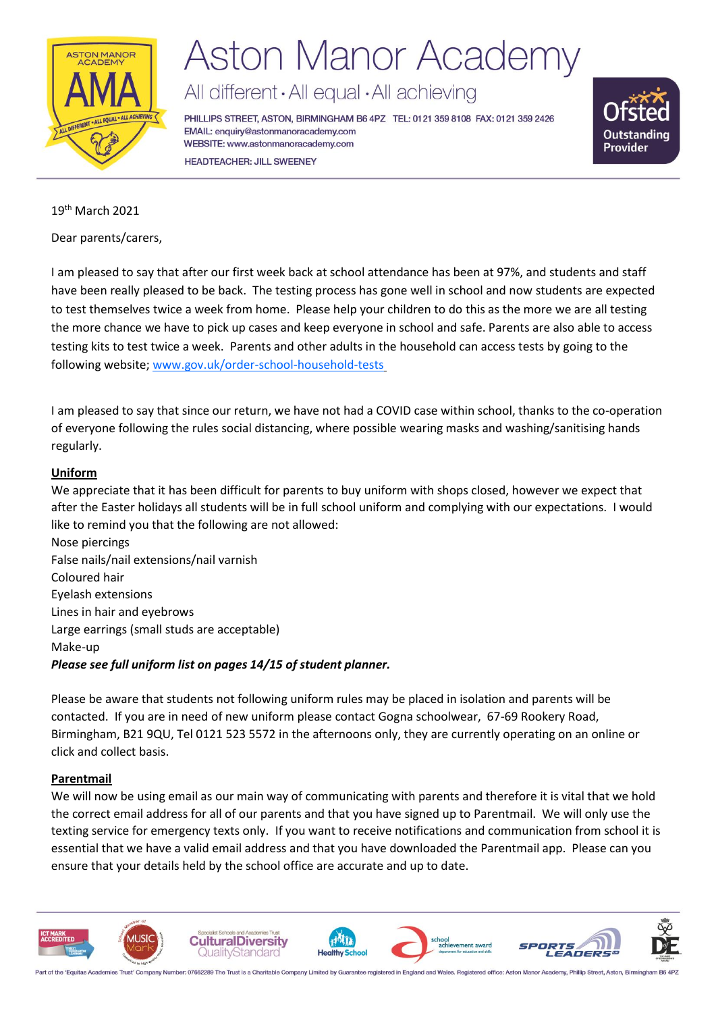

# **Aston Manor Academy**

# All different · All equal · All achieving

PHILLIPS STREET, ASTON, BIRMINGHAM B6 4PZ TEL: 0121 359 8108 FAX: 0121 359 2426 EMAIL: enquiry@astonmanoracademy.com WEBSITE: www.astonmanoracademy.com **HEADTEACHER: JILL SWEENEY** 



19th March 2021

Dear parents/carers,

I am pleased to say that after our first week back at school attendance has been at 97%, and students and staff have been really pleased to be back. The testing process has gone well in school and now students are expected to test themselves twice a week from home. Please help your children to do this as the more we are all testing the more chance we have to pick up cases and keep everyone in school and safe. Parents are also able to access testing kits to test twice a week. Parents and other adults in the household can access tests by going to the following website; [www.gov.uk/order-school-household-tests](https://gbr01.safelinks.protection.outlook.com/?url=http%3A%2F%2Fwww.gov.uk%2Forder-school-household-tests&data=04%7C01%7Ckkaila%40astonmanoracademy.com%7C88e94e06d56b41fa8d7108d8e940971e%7Cb6b60b6736de410ba87b92158fc08a4f%7C0%7C0%7C637515810910296302%7CUnknown%7CTWFpbGZsb3d8eyJWIjoiMC4wLjAwMDAiLCJQIjoiV2luMzIiLCJBTiI6Ik1haWwiLCJXVCI6Mn0%3D%7C1000&sdata=8kss1PvPfS9yiG734ZuM6IHHKuB3G7LEay7lePdip20%3D&reserved=0)

I am pleased to say that since our return, we have not had a COVID case within school, thanks to the co-operation of everyone following the rules social distancing, where possible wearing masks and washing/sanitising hands regularly.

# **Uniform**

We appreciate that it has been difficult for parents to buy uniform with shops closed, however we expect that after the Easter holidays all students will be in full school uniform and complying with our expectations. I would like to remind you that the following are not allowed:

Nose piercings False nails/nail extensions/nail varnish Coloured hair Eyelash extensions Lines in hair and eyebrows Large earrings (small studs are acceptable) Make-up *Please see full uniform list on pages 14/15 of student planner.*

Please be aware that students not following uniform rules may be placed in isolation and parents will be contacted. If you are in need of new uniform please contact Gogna schoolwear, 67-69 Rookery Road, Birmingham, B21 9QU, Tel 0121 523 5572 in the afternoons only, they are currently operating on an online or click and collect basis.

# **Parentmail**

We will now be using email as our main way of communicating with parents and therefore it is vital that we hold the correct email address for all of our parents and that you have signed up to Parentmail. We will only use the texting service for emergency texts only. If you want to receive notifications and communication from school it is essential that we have a valid email address and that you have downloaded the Parentmail app. Please can you ensure that your details held by the school office are accurate and up to date.